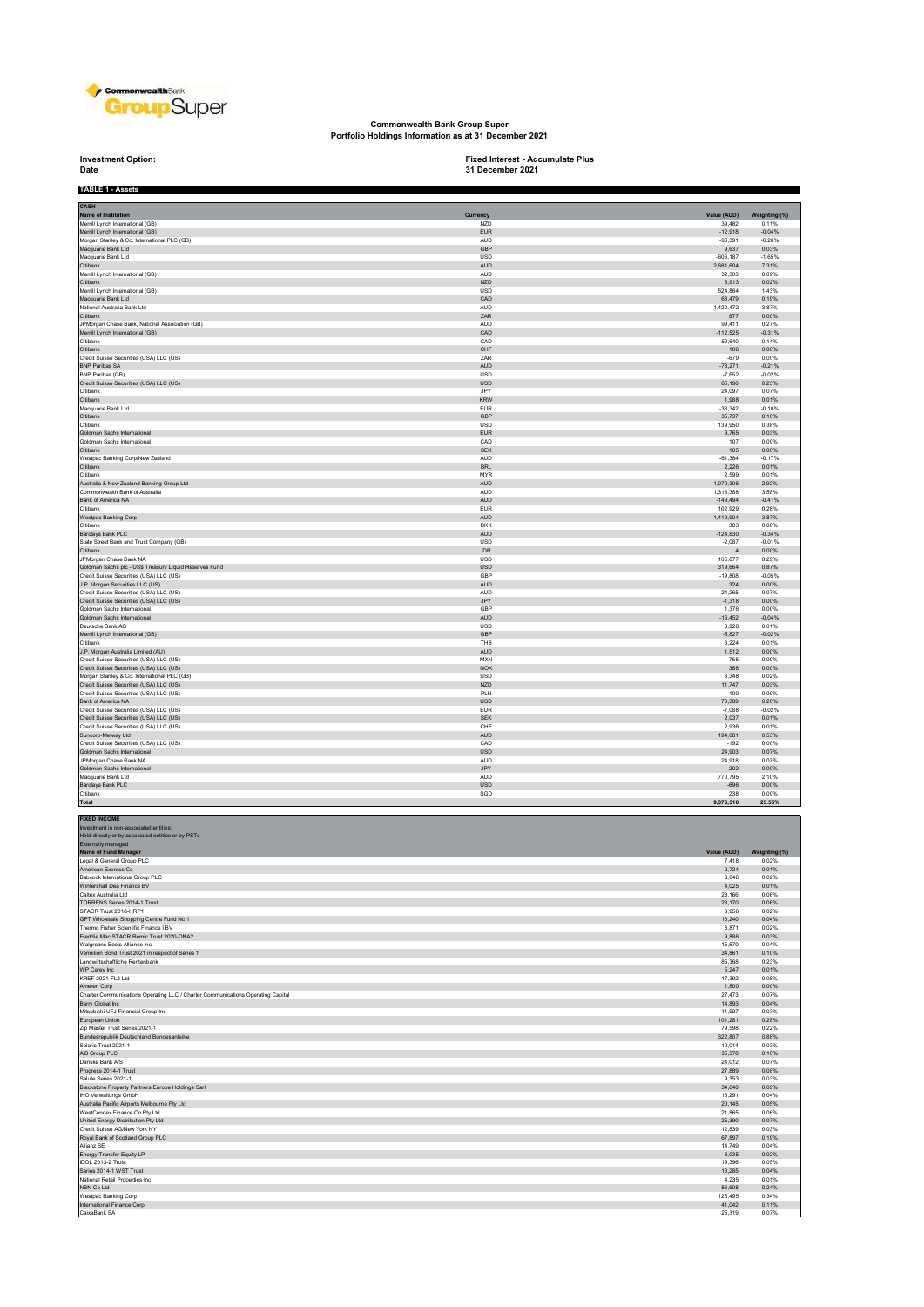

**Commonwealth Bank Group Super Portfolio Holdings Information as at 31 December 2021**

**Investment Option:**<br>Date

**Investment Option: Fixed Interest - Accumulate Plus 31 December 2021**

| <b>TABLE 1 - Assets</b>                                                                             |                          |                           |                        |
|-----------------------------------------------------------------------------------------------------|--------------------------|---------------------------|------------------------|
| CASH                                                                                                |                          |                           |                        |
| Name of Institution<br>Merrill Lynch International (GB)                                             | Currency<br>NZD          | Value (AUD)<br>39,482     | Weighting (%)<br>0.11% |
| Merrill Lynch International (GB)                                                                    | ${\sf EUR}$              | $-12,918$                 | $-0.04%$               |
| Morgan Stanley & Co. International PLC (GB)<br>Macquarie Bank Ltd                                   | <b>AUD</b><br>GBP        | $-96.391$<br>9,637        | $-0.26%$<br>0.03%      |
| Macquarie Bank Ltd                                                                                  | <b>USD</b>               | $-606, 187$               | $-1.65%$               |
| Citibank<br>Merrill Lynch International (GB)                                                        | AUD<br>AUD               | 2,681,604<br>32,303       | 7.31%<br>0.09%         |
| Citibank<br>Merrill Lynch International (GB)                                                        | <b>NZD</b>               | 8.913<br>524,864          | 0.02%<br>1.43%         |
| Macquarie Bank Ltd                                                                                  | USD<br>CAD               | 68,479                    | 0.19%                  |
| National Australia Bank Ltd<br>Citibank                                                             | AUD<br>ZAR               | 1,420,472<br>877          | 3.87%<br>0.00%         |
| JPMorgan Chase Bank, National Association (GB)                                                      | <b>AUD</b>               | 99.411                    | 0.27%                  |
| Merrill Lynch International (GB)<br>Citibank                                                        | CAD<br>CAD               | $-112,525$<br>50,640      | $-0.31%$<br>0.14%      |
| Citibank                                                                                            | ${\sf CHF}$              | 106                       | 0.00%                  |
| Credit Suisse Securities (USA) LLC (US)<br><b>BNP Paribas SA</b>                                    | ZAR<br><b>AUD</b>        | $-679$<br>$-78.271$       | 0.00%<br>$-0.21%$      |
| BNP Paribas (GB)                                                                                    | USD<br><b>USD</b>        | $-7,652$                  | $-0.02%$<br>0.23%      |
| Credit Suisse Securities (USA) LLC (US)<br>Citibank                                                 | JPY                      | 85,196<br>24,097          | 0.07%                  |
| Citibank<br>Macquarie Bank Ltd                                                                      | <b>KRW</b><br><b>EUR</b> | 1,988<br>$-38.342$        | 0.01%<br>$-0.10%$      |
| Citibank                                                                                            | GBP                      | 35,737                    | 0.10%                  |
| Citibank<br>Goldman Sachs International                                                             | <b>USD</b><br>EUR        | 139.950<br>9,765          | 0.38%<br>0.03%         |
| Goldman Sachs International<br>Citibank                                                             | CAD<br><b>SEK</b>        | 107<br>105                | 0.00%<br>0.00%         |
| Westpac Banking Corp/New Zealand                                                                    | <b>AUD</b>               | $-61,384$                 | $-0.17%$               |
| <b>Citibank</b><br>Citibank                                                                         | <b>BRL</b><br><b>MYR</b> | 2,226<br>2.599            | 0.01%<br>0.01%         |
| Australia & New Zealand Banking Group Ltd                                                           | AUD                      | 1,070,306                 | 2.92%                  |
| Commonwealth Bank of Australia<br>Bank of America NA                                                | <b>AUD</b><br>AUD        | 1.313.388<br>$-149,494$   | 3.58%<br>$-0.41%$      |
| Citibank                                                                                            | <b>EUR</b>               | 102,929                   | 0.28%                  |
| Westpac Banking Corp<br>Citibank                                                                    | <b>AUD</b><br><b>DKK</b> | 1.419.904<br>383          | 3.87%<br>0.00%         |
| Barclays Bank PLC                                                                                   | <b>AUD</b>               | $-124,830$                | $-0.34%$               |
| State Street Bank and Trust Company (GB)<br>Citibank                                                | USD<br><b>IDR</b>        | $-2,087$<br>$\frac{4}{3}$ | $-0.01%$<br>0.00%      |
| <b>JPMorgan Chase Bank NA</b>                                                                       | <b>USD</b>               | 105.077                   | 0.29%                  |
| Goldman Sachs plc - US\$ Treasury Liquid Reserves Fund<br>Credit Suisse Securities (USA) LLC (US)   | USD<br>GBP               | 319,664<br>$-19.808$      | 0.87%<br>$-0.05%$      |
| J.P. Morgan Securities LLC (US)                                                                     | AUD                      | 324                       | 0.00%                  |
| Credit Suisse Securities (USA) LLC (US)<br>Credit Suisse Securities (USA) LLC (US)                  | <b>AUD</b><br>JPY        | 24,265<br>$-1,318$        | 0.07%<br>0.00%         |
| Goldman Sachs International                                                                         | GBP                      | 1,376                     | 0.00%                  |
| Goldman Sachs International<br>Deutsche Bank AG                                                     | <b>AUD</b><br>USD        | $-16.452$<br>3,826        | $-0.04%$<br>0.01%      |
| Merrill Lynch International (GB)                                                                    | GBP                      | $-5.827$                  | $-0.02%$               |
| Citibank<br>J.P. Morgan Australia Limited (AU)                                                      | THB<br>AUD               | 3.224<br>1,512            | 0.01%<br>0.00%         |
| Credit Suisse Securities (USA) LLC (US)                                                             | <b>MXN</b>               | $-765$                    | 0.00%                  |
| Credit Suisse Securities (USA) LLC (US)<br>Morgan Stanley & Co. International PLC (GB)              | NOK<br><b>USD</b>        | 388<br>8.348              | 0.00%<br>0.02%         |
| Credit Suisse Securities (USA) LLC (US)                                                             | <b>NZD</b>               | 11,747                    | 0.03%                  |
| Credit Suisse Securities (USA) LLC (US)<br>Bank of America NA                                       | PLN<br><b>USD</b>        | 100<br>73.389             | 0.00%<br>0.20%         |
| Credit Suisse Securities (USA) LLC (US)                                                             | <b>EUR</b>               | $-7,088$                  | $-0.02%$               |
| Credit Suisse Securities (USA) LLC (US)<br>Credit Suisse Securities (USA) LLC (US)                  | <b>SEK</b><br>CHF        | 2,037<br>2.936            | 0.01%<br>0.01%         |
| Suncorp-Metway Ltd                                                                                  | AUD<br>CAD               | 194,681<br>$-192$         | 0.53%<br>0.00%         |
| Credit Suisse Securities (USA) LLC (US)<br>Goldman Sachs International                              | USD                      | 24,903                    | 0.07%                  |
| JPMorgan Chase Bank NA<br>Goldman Sachs International                                               | <b>AUD</b><br>JPY        | 24,918<br>202             | 0.07%<br>0.00%         |
| Macquarie Bank Ltd                                                                                  | <b>AUD</b>               | 770,795                   | 2.10%                  |
| Barclays Bank PLC<br>Citibank                                                                       | USD<br>SGD               | $-696$<br>238             | 0.00%<br>0.00%         |
| Total                                                                                               |                          | 9,376,516                 | 25.55%                 |
| <b>FIXED INCOME</b>                                                                                 |                          |                           |                        |
| Investment in non-associated entities;<br>Held directly or by associated entities or by PSTs        |                          |                           |                        |
| Externally managed                                                                                  |                          |                           |                        |
| Name of Fund Manager<br>Legal & General Group PLC                                                   |                          | Value (AUD)<br>7,418      | Weighting (%)<br>0.02% |
| American Express Co                                                                                 |                          | 2,724                     | 0.01%                  |
| Babcock International Group PLC<br>Wintershall Dea Finance BV                                       |                          | 8,046<br>4,025            | 0.02%<br>0.01%         |
| Caltex Australia Ltd                                                                                |                          | 23.166<br>23,170          | 0.06%<br>0.06%         |
| TORRENS Series 2014-1 Trust<br>STACR Trust 2018-HRP1                                                |                          | 8.956                     | 0.02%                  |
| GPT Wholesale Shopping Centre Fund No 1<br>Thermo Fisher Scientific Finance I BV                    |                          | 13,240<br>8,871           | 0.04%<br>0.02%         |
| Freddie Mac STACR Remic Trust 2020-DNA2                                                             |                          | 9.886                     | 0.03%                  |
| Walgreens Boots Alliance Inc<br>Vermilion Bond Trust 2021 in respect of Series 1                    |                          | 15,670<br>34,861          | 0.04%<br>0.10%         |
| Landwirtschaftliche Rentenbank                                                                      |                          | 85,368                    | 0.23%                  |
| WP Carey Inc<br>KRFF 2021-FL2 Ltd.                                                                  |                          | 5,247<br>17.392           | 0.01%<br>0.05%         |
| Ameren Corp                                                                                         |                          | 1,800                     | 0.00%                  |
| Charter Communications Operating LLC / Charter Communications Operating Capital<br>Berry Global Inc |                          | 27,473<br>14,893          | 0.07%<br>0.04%         |
| Mitsubishi UFJ Financial Group Inc                                                                  |                          | 11,997                    | 0.03%                  |
| European Union<br>Zip Master Trust Series 2021-1                                                    |                          | 101,281<br>79,598         | 0.28%<br>0.22%         |
| Bundesrepublik Deutschland Bundesanleihe                                                            |                          | 322,807                   | 0.88%                  |
| Solaris Trust 2021-1<br>AIB Group PLC                                                               |                          | 10,014<br>35,378          | 0.03%<br>0.10%         |
| Danske Bank A/S                                                                                     |                          | 24.012                    | 0.07%                  |
| Progress 2014-1 Trust<br>Salute Series 2021-1                                                       |                          | 27,889<br>9,353           | 0.08%<br>0.03%         |
| Blackstone Property Partners Europe Holdings Sarl                                                   |                          | 34,640                    | 0.09%                  |
| IHO Verwaltungs GmbH<br>Australia Pacific Airports Melbourne Pty Ltd                                |                          | 16,291<br>20,145          | 0.04%<br>0.05%         |
| WestConnex Finance Co Pty Ltd                                                                       |                          | 21,865                    | 0.06%                  |
| United Energy Distribution Pty Ltd<br>Credit Suisse AG/New York NY                                  |                          | 25,390<br>12,839          | 0.07%<br>0.03%         |
| Royal Bank of Scotland Group PLC<br>Allianz SE                                                      |                          | 67,897<br>14.749          | 0.19%<br>0.04%         |
| Energy Transfer Equity LP                                                                           |                          | 8,035                     | 0.02%                  |
| IDOL 2013-2 Trust                                                                                   |                          | 19,396                    | 0.05%                  |
| Series 2014-1 WST Trust<br>National Retail Properties Inc.                                          |                          | 13,285<br>4,235           | 0.04%<br>0.01%         |
| NBN Co Ltd<br>Westpac Banking Corp                                                                  |                          | 86,608<br>126,495         | 0.24%<br>0.34%         |
| International Finance Corp                                                                          |                          | 41,042                    | 0.11%                  |
| CaixaBank SA                                                                                        |                          | 25,319                    | 0.07%                  |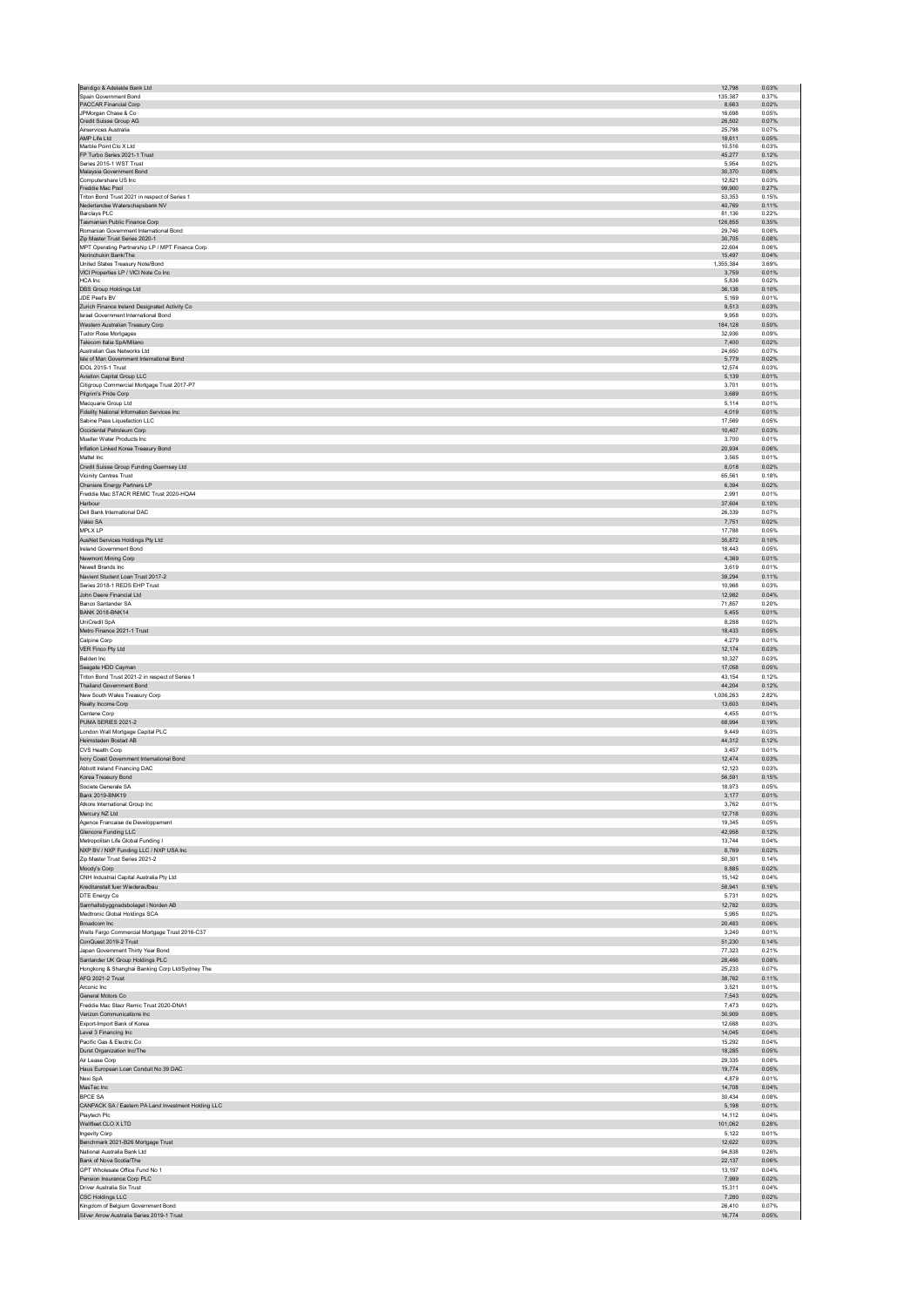| Bendigo & Adelaide Bank Ltd                                                      | 12,798           | 0.03%          |
|----------------------------------------------------------------------------------|------------------|----------------|
| Spain Government Bond                                                            | 135,387          | 0.37%          |
| PACCAR Financial Corp                                                            | 8,663            | 0.02%          |
| JPMorgan Chase & Co                                                              | 16,698           | 0.05%          |
| Credit Suisse Group AG                                                           | 26,502           | 0.07%          |
| Airservices Australia                                                            | 25.798           | 0.07%          |
| AMP Life Ltd                                                                     | 18,611           | 0.05%          |
| Marble Point Clo X Ltd<br>FP Turbo Series 2021-1 Trust                           | 10.516<br>45,277 | 0.03%<br>0.12% |
| Series 2015-1 WST Trust                                                          | 5,954            | 0.02%          |
| Malaysia Government Bond                                                         | 30.370           | 0.08%          |
| Computershare US Inc                                                             | 12,821           | 0.03%          |
| Freddie Mac Pool                                                                 | 99,900           | 0.27%          |
| Triton Bond Trust 2021 in respect of Series 1                                    | 53,353           | 0.15%          |
| Nederlandse Waterschapsbank NV                                                   | 40,769           | 0.11%          |
| Barclays PLC                                                                     | 81.136           | 0.22%          |
| Tasmanian Public Finance Corp                                                    | 126,855          | 0.35%          |
| Romanian Government International Bond                                           | 29,746           | 0.08%          |
| Zip Master Trust Series 2020-1                                                   | 30,705           | 0.08%          |
| MPT Operating Partnership LP / MPT Finance Corp                                  | 22,604           | 0.06%          |
| Norinchukin Bank/The                                                             | 15.497           | 0.04%          |
| United States Treasury Note/Bond                                                 | 1,355,384        | 3.69%          |
| VICI Properties LP / VICI Note Co Inc                                            | 3,759            | 0.01%          |
| HCA Inc                                                                          | 5,836            | 0.02%          |
| DBS Group Holdings Ltd<br>JDE Peet's BV                                          | 36,138<br>5.169  | 0.10%<br>0.01% |
| Zurich Finance Ireland Designated Activity Co                                    | 9,513            | 0.03%          |
| Israel Government International Bond                                             | 9,958            | 0.03%          |
| Western Australian Treasury Corp                                                 | 184,128          | 0.50%          |
| <b>Tudor Rose Mortgages</b>                                                      | 32,936           | 0.09%          |
| Telecom Italia SpA/Milano                                                        | 7,400            | 0.02%          |
| Australian Gas Networks Ltd                                                      | 24.650           | 0.07%          |
| Isle of Man Government International Bond                                        | 5,779            | 0.02%          |
| IDOL 2015-1 Trust                                                                | 12.574           | 0.03%          |
| Aviation Capital Group LLC                                                       | 5,139            | 0.01%          |
| Citigroup Commercial Mortgage Trust 2017-P7                                      | 3,701            | 0.01%          |
| Pilgrim's Pride Corp                                                             | 3,689            | 0.01%          |
| Macquarie Group Ltd                                                              | 5.114            | 0.01%          |
| Fidelity National Information Services Inc                                       | 4.019            | 0.01%          |
| Sabine Pass Liquefaction LLC                                                     | 17.569           | 0.05%          |
| Occidental Petroleum Corp                                                        | 10.407           | 0.03%          |
| Mueller Water Products Inc                                                       | 3.700            | 0.01%          |
| Inflation Linked Korea Treasury Bond                                             | 20.934           | 0.06%          |
| Mattel Inc                                                                       | 3,565            | 0.01%          |
| Credit Suisse Group Funding Guernsey Ltd                                         | 8,018            | 0.02%          |
| Vicinity Centres Trust                                                           | 65,561           | 0.18%          |
| Cheniere Energy Partners LP                                                      | 6,394            | 0.02%          |
| Freddie Mac STACR REMIC Trust 2020-HQA4                                          | 2,991            | 0.01%          |
| Harbour                                                                          | 37,604           | 0.10%          |
| Dell Bank International DAC                                                      | 26,339           | 0.07%          |
| Valeo SA                                                                         | 7,751            | 0.02%          |
| MPLX LP                                                                          | 17,788           | 0.05%          |
| AusNet Services Holdings Pty Ltd                                                 | 35,872           | 0.10%          |
| Ireland Government Bond                                                          | 18.443           | 0.05%          |
| Newmont Mining Corp                                                              | 4,369            | 0.01%          |
| Newell Brands Inc                                                                | 3,619            | 0.01%          |
| Navient Student Loan Trust 2017-2                                                | 39,294           | 0.11%          |
| Series 2018-1 REDS EHP Trust                                                     | 10,968           | 0.03%          |
|                                                                                  |                  |                |
| John Deere Financial Ltd                                                         | 12,982           | 0.04%          |
| Banco Santander SA                                                               | 71,857           | 0.20%          |
| <b>BANK 2018-BNK14</b>                                                           | 5,455            | 0.01%          |
| UniCredit SpA                                                                    | 8,288            | 0.02%          |
| Metro Finance 2021-1 Trust                                                       | 18,433           | 0.05%          |
| Calpine Corp                                                                     | 4.279            | 0.01%          |
| VER Finco Pty Ltd                                                                | 12,174           | 0.03%          |
|                                                                                  |                  |                |
| Belden Inc.                                                                      | 10.327           | 0.03%          |
| Seagate HDD Cayman                                                               | 17.058           | 0.05%          |
| Triton Bond Trust 2021-2 in respect of Series 1                                  | 43.154           | 0.12%          |
| <b>Thailand Government Bond</b>                                                  | 44,204           | 0.12%          |
| New South Wales Treasury Corp                                                    | 1,036,263        | 2.82%          |
| Realty Income Corp                                                               | 13,603           | 0.04%          |
| Centene Corp                                                                     | 4,455            | 0.01%          |
| PUMA SERIES 2021-2                                                               | 68,994           | 0.19%          |
| London Wall Mortgage Capital PLC                                                 | 9,449            | 0.03%          |
| Heimstaden Bostad AB                                                             | 44,312           | 0.12%          |
| CVS Health Corp.                                                                 | 3.457            | 0.01%          |
| Ivory Coast Government International Bond                                        | 12,474           | 0.03%          |
| Abbott Ireland Financing DAC                                                     | 12.123           | 0.03%          |
| Korea Treasury Bond                                                              | 56.591           | 0.15%          |
| Societe Generale SA                                                              | 18.973           | 0.05%          |
| Bank 2019-BNK19                                                                  | 3,177            | 0.01%          |
| Atkore International Group Inc.                                                  | 3.762            | 0.01%          |
| Mercury NZ Ltd                                                                   | 12,718           | 0.03%          |
| Agence Francaise de Developpement                                                | 19,345           | 0.05%          |
| Glencore Funding LLC                                                             | 42,958           | 0.12%          |
| Metropolitan Life Global Funding I                                               | 13,744           | 0.04%          |
| NXP BV / NXP Funding LLC / NXP USA Inc                                           | 8,769            | 0.02%          |
| Zip Master Trust Series 2021-2                                                   | 50,301           | 0.14%          |
| Moody's Corp                                                                     | 8,885            | 0.02%          |
| CNH Industrial Capital Australia Pty Ltd                                         | 15,142           | 0.04%          |
| Kreditanstalt fuer Wiederaufbau                                                  | 58.941           | 0.16%          |
| DTE Energy Co                                                                    | 5.731            | 0.02%          |
| Samhallsbyggnadsbolaget i Norden AB                                              | 12.782           | 0.03%          |
| Medtronic Global Holdings SCA                                                    | 5.985            | 0.02%          |
| Broadcom Inc                                                                     | 20,483           | 0.06%          |
| Wells Fargo Commercial Mortgage Trust 2016-C37                                   | 3,240            | 0.01%          |
| ConQuest 2019-2 Trust                                                            | 51,230           | 0.14%          |
| Japan Government Thirty Year Bond                                                | 77,323           | 0.21%          |
| Santander UK Group Holdings PLC                                                  | 28,466           | 0.08%          |
| Hongkong & Shanghai Banking Corp Ltd/Sydney The                                  | 25,233           | 0.07%          |
| AFG 2021-2 Trust                                                                 | 38,762           | 0.11%          |
| Arconic Inc.                                                                     | 3,521            | 0.01%          |
| General Motors Co                                                                | 7,543            | 0.02%          |
| Freddie Mac Stacr Remic Trust 2020-DNA1                                          | 7,473            | 0.02%          |
| Verizon Communications Inc.                                                      | 30.909           | 0.08%          |
| Export-Import Bank of Korea                                                      | 12.688           | 0.03%          |
| Level 3 Financing Inc                                                            | 14.045           | 0.04%          |
| Pacific Gas & Electric Co                                                        | 15,292           | 0.04%          |
| Durst Organization Inc/The                                                       | 18,285           | 0.05%          |
|                                                                                  |                  |                |
| Air Lease Corp                                                                   | 29,335<br>19,774 | 0.08%<br>0.05% |
| Haus European Loan Conduit No 39 DAC                                             |                  |                |
| Nexi SpA                                                                         | 4,879            | 0.01%          |
| MasTec Inc<br><b>BPCE SA</b>                                                     | 14,708<br>30,434 | 0.04%<br>0.08% |
|                                                                                  | 5,198            | 0.01%          |
| CANPACK SA / Eastern PA Land Investment Holding LLC                              |                  | 0.04%          |
| Playtech Plc                                                                     | 14,112           |                |
| Wellfleet CLO X LTD                                                              | 101,062          | 0.28%          |
| Ingevity Corp                                                                    | 5.122            | 0.01%          |
| Benchmark 2021-B26 Mortgage Trust                                                | 12.622           | 0.03%          |
| National Australia Bank Ltd                                                      | 94.838           | 0.26%          |
| Bank of Nova Scotia/The                                                          | 22,137           | 0.06%          |
| GPT Wholesale Office Fund No 1                                                   | 13,197           | 0.04%          |
| Pension Insurance Corp PLC                                                       | 7,999            | 0.02%          |
| Driver Australia Six Trust                                                       | 15,311           | 0.04%          |
| CSC Holdings LLC                                                                 | 7,280            | 0.02%          |
| Kingdom of Belgium Government Bond<br>Silver Arrow Australia Series 2019-1 Trust | 26,410<br>16,774 | 0.07%<br>0.05% |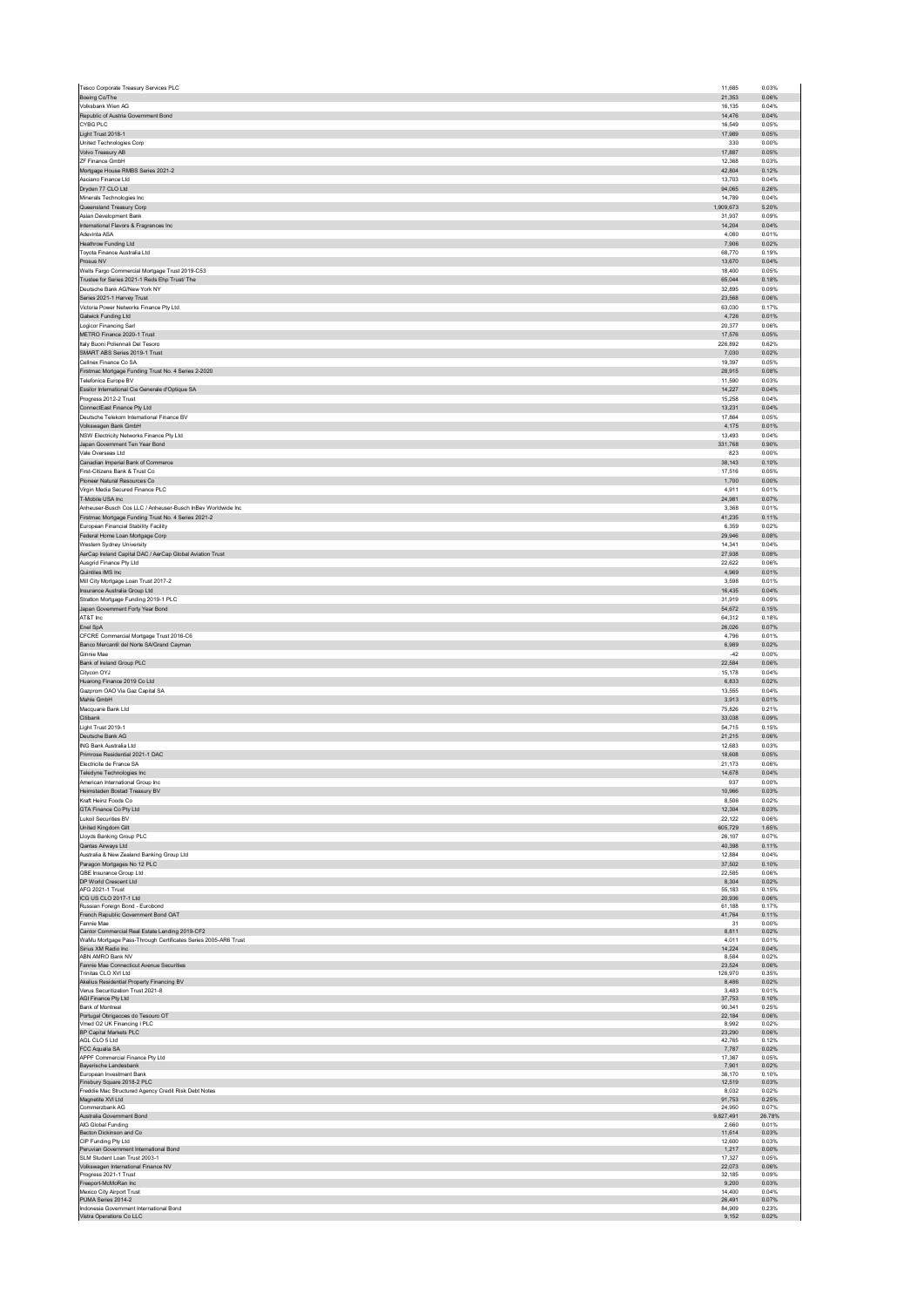|                                                                                                                                                                                                                                                                                                                                                                                                                               | 11.685<br>21.353          | 0.03%<br>0.06%          |
|-------------------------------------------------------------------------------------------------------------------------------------------------------------------------------------------------------------------------------------------------------------------------------------------------------------------------------------------------------------------------------------------------------------------------------|---------------------------|-------------------------|
| Boeing Co/The<br>Volksbank Wien AG                                                                                                                                                                                                                                                                                                                                                                                            | 16,135                    | 0.04%                   |
| Republic of Austria Government Bond                                                                                                                                                                                                                                                                                                                                                                                           | 14.476                    | 0.04%                   |
| CYBG PLC<br>Light Trust 2018-1                                                                                                                                                                                                                                                                                                                                                                                                | 16,549<br>17,989          | 0.05%<br>0.05%          |
| United Technologies Corp                                                                                                                                                                                                                                                                                                                                                                                                      | 330                       | 0.00%                   |
| Volvo Treasury AB<br>ZF Finance GmbH                                                                                                                                                                                                                                                                                                                                                                                          | 17,887<br>12,368          | 0.05%<br>0.03%          |
| Mortgage House RMBS Series 2021-2                                                                                                                                                                                                                                                                                                                                                                                             | 42,804                    | 0.12%                   |
| Asciano Finance I td.<br>Dryden 77 CLO Ltd                                                                                                                                                                                                                                                                                                                                                                                    | 13.703<br>94.065          | 0.04%<br>0.26%          |
| Minerals Technologies Inc.                                                                                                                                                                                                                                                                                                                                                                                                    | 14.789                    | 0.04%                   |
| Queensland Treasury Corp<br>Asian Development Bank                                                                                                                                                                                                                                                                                                                                                                            | 1,909,673<br>31.937       | 5.20%<br>0.09%          |
| International Flavors & Fragrances Inc.                                                                                                                                                                                                                                                                                                                                                                                       | 14.204                    | 0.04%                   |
| Adevinta ASA                                                                                                                                                                                                                                                                                                                                                                                                                  | 4.080                     | 0.01%                   |
| Heathrow Funding Ltd<br>Toyota Finance Australia Ltd                                                                                                                                                                                                                                                                                                                                                                          | 7,906<br>68,770           | 0.02%<br>0.19%          |
| Prosus NV                                                                                                                                                                                                                                                                                                                                                                                                                     | 13,670                    | 0.04%                   |
| Wells Fargo Commercial Mortgage Trust 2019-C53<br>Trustee for Series 2021-1 Reds Ehp Trust/ The                                                                                                                                                                                                                                                                                                                               | 18,400<br>65,044          | 0.05%<br>0.18%          |
| Deutsche Bank AG/New York NY                                                                                                                                                                                                                                                                                                                                                                                                  | 32,895                    | 0.09%                   |
| Series 2021-1 Harvey Trust<br>Victoria Power Networks Finance Pty Ltd                                                                                                                                                                                                                                                                                                                                                         | 23,568<br>63.030          | 0.06%<br>0.17%          |
| Gatwick Funding Ltd                                                                                                                                                                                                                                                                                                                                                                                                           | 4,726                     | 0.01%                   |
| Logicor Financing Sarl                                                                                                                                                                                                                                                                                                                                                                                                        | 20.377<br>17.576          | 0.06%<br>0.05%          |
| METRO Finance 2020-1 Trust<br>Italy Buoni Poliennali Del Tesoro                                                                                                                                                                                                                                                                                                                                                               | 226,892                   | 0.62%                   |
| SMART ABS Series 2019-1 Trust                                                                                                                                                                                                                                                                                                                                                                                                 | 7,030                     | 0.02%                   |
| Cellnex Finance Co SA<br>Firstmac Mortgage Funding Trust No. 4 Series 2-2020                                                                                                                                                                                                                                                                                                                                                  | 19,397<br>28,915          | 0.05%<br>0.08%          |
| Telefonica Europe BV                                                                                                                                                                                                                                                                                                                                                                                                          | 11,590                    | 0.03%                   |
| Essilor International Cie Generale d'Optique SA<br>Progress 2012-2 Trust                                                                                                                                                                                                                                                                                                                                                      | 14,227<br>15,258          | 0.04%<br>0.04%          |
| ConnectEast Finance Pty Ltd                                                                                                                                                                                                                                                                                                                                                                                                   | 13,231                    | 0.04%                   |
| Deutsche Telekom International Finance BV<br>Volkswagen Bank GmbH                                                                                                                                                                                                                                                                                                                                                             | 17.864<br>4.175           | 0.05%                   |
| NSW Electricity Networks Finance Pty Ltd                                                                                                                                                                                                                                                                                                                                                                                      | 13.493                    | 0.01%<br>0.04%          |
| Japan Government Ten Year Bond                                                                                                                                                                                                                                                                                                                                                                                                | 331,768                   | 0.90%                   |
| Vale Overseas Ltd<br>Canadian Imperial Bank of Commerce                                                                                                                                                                                                                                                                                                                                                                       | 823<br>38.143             | 0.00%<br>0.10%          |
| First-Citizens Bank & Trust Co                                                                                                                                                                                                                                                                                                                                                                                                | 17,516                    | 0.05%                   |
| Pioneer Natural Resources Co<br>Virgin Media Secured Finance PLC                                                                                                                                                                                                                                                                                                                                                              | 1,700<br>4,911            | 0.00%<br>0.01%          |
| T-Mobile USA Inc                                                                                                                                                                                                                                                                                                                                                                                                              | 24,981                    | 0.07%                   |
| Anheuser-Busch Cos LLC / Anheuser-Busch InBev Worldwide Inc<br>Firstmac Mortgage Funding Trust No. 4 Series 2021-2                                                                                                                                                                                                                                                                                                            | 3,368<br>41,235           | 0.01%<br>0.11%          |
| European Financial Stability Facility                                                                                                                                                                                                                                                                                                                                                                                         | 6,359                     | 0.02%                   |
| Federal Home Loan Mortgage Corp                                                                                                                                                                                                                                                                                                                                                                                               | 29,946                    | 0.08%                   |
| Western Sydney University                                                                                                                                                                                                                                                                                                                                                                                                     | 14.341<br>27,938          | 0.04%<br>0.08%          |
| AerCap Ireland Capital DAC / AerCap Global Aviation Trust<br>Ausgrid Finance Pty Ltd                                                                                                                                                                                                                                                                                                                                          | 22.622                    | 0.06%                   |
| Quintiles IMS Inc<br>Mill City Mortgage Loan Trust 2017-2                                                                                                                                                                                                                                                                                                                                                                     | 4.969<br>3,598            | 0.01%<br>0.01%          |
| Insurance Australia Group Ltd                                                                                                                                                                                                                                                                                                                                                                                                 | 16,435                    | 0.04%                   |
| Stratton Mortgage Funding 2019-1 PLC                                                                                                                                                                                                                                                                                                                                                                                          | 31,919                    | 0.09%                   |
| Japan Government Forty Year Bond<br>AT&T Inc                                                                                                                                                                                                                                                                                                                                                                                  | 54,672<br>64,312          | 0.15%<br>0.18%          |
| Enel SpA                                                                                                                                                                                                                                                                                                                                                                                                                      | 26,026                    | 0.07%                   |
| CFCRE Commercial Mortgage Trust 2016-C6<br>Banco Mercantil del Norte SA/Grand Cayman                                                                                                                                                                                                                                                                                                                                          | 4,796<br>6,989            | 0.01%<br>0.02%          |
| Ginnie Mae                                                                                                                                                                                                                                                                                                                                                                                                                    | $-42$                     | 0.00%                   |
|                                                                                                                                                                                                                                                                                                                                                                                                                               | 22.584                    |                         |
|                                                                                                                                                                                                                                                                                                                                                                                                                               |                           | 0.06%                   |
| Citycon OYJ<br>Huarong Finance 2019 Co Ltd                                                                                                                                                                                                                                                                                                                                                                                    | 15.178<br>6.833           | 0.04%<br>0.02%          |
| Gazprom OAO Via Gaz Capital SA                                                                                                                                                                                                                                                                                                                                                                                                | 13,555                    | 0.04%                   |
| Mahle GmbH<br>Macquarie Bank Ltd                                                                                                                                                                                                                                                                                                                                                                                              | 3.913<br>75,826           | 0.01%<br>0.21%          |
| Citibank                                                                                                                                                                                                                                                                                                                                                                                                                      | 33,038                    | 0.09%                   |
| Light Trust 2019-1<br>Deutsche Bank AG                                                                                                                                                                                                                                                                                                                                                                                        | 54,715<br>21,215          | 0.15%<br>0.06%          |
| ING Bank Australia Ltd                                                                                                                                                                                                                                                                                                                                                                                                        | 12,683                    | 0.03%                   |
| Primrose Residential 2021-1 DAC<br>Electricite de France SA                                                                                                                                                                                                                                                                                                                                                                   | 18,608<br>21.173          | 0.05%<br>0.06%          |
| Teledyne Technologies Inc                                                                                                                                                                                                                                                                                                                                                                                                     | 14,678                    | 0.04%                   |
| American International Group Inc.                                                                                                                                                                                                                                                                                                                                                                                             | 937                       | 0.00%                   |
| Heimstaden Bostad Treasury BV<br>Kraft Heinz Foods Co                                                                                                                                                                                                                                                                                                                                                                         | 10,966<br>8.506           | 0.03%<br>0.02%          |
| GTA Finance Co Pty Ltd                                                                                                                                                                                                                                                                                                                                                                                                        | 12.304                    | 0.03%                   |
| <b>Lukoil Securities BV</b><br>United Kingdom Gilt                                                                                                                                                                                                                                                                                                                                                                            | 22.122<br>605,729         | 0.06%<br>1.65%          |
| Lloyds Banking Group PLC                                                                                                                                                                                                                                                                                                                                                                                                      | 26,107                    | 0.07%                   |
| Qantas Airways Ltd<br>Australia & New Zealand Banking Group Ltd                                                                                                                                                                                                                                                                                                                                                               | 40,398<br>12,884          | 0.11%<br>0.04%          |
| Paragon Mortgages No 12 PLC                                                                                                                                                                                                                                                                                                                                                                                                   | 37,502                    | 0.10%                   |
| QBE Insurance Group Ltd                                                                                                                                                                                                                                                                                                                                                                                                       | 22,585<br>8,304           | 0.06%<br>0.02%          |
| AFG 2021-1 Trust                                                                                                                                                                                                                                                                                                                                                                                                              | 55,183                    | 0.15%                   |
| ICG US CLO 2017-1 Ltd<br>Russian Foreign Bond - Eurobond                                                                                                                                                                                                                                                                                                                                                                      | 20,936<br>61,188          | 0.06%<br>0.17%          |
| Fannie Mae                                                                                                                                                                                                                                                                                                                                                                                                                    | 41,764<br>31              | 0.11%<br>0.00%          |
|                                                                                                                                                                                                                                                                                                                                                                                                                               | 8,811                     | 0.02%                   |
| Sirius XM Radio Inc                                                                                                                                                                                                                                                                                                                                                                                                           | 4.011<br>14,224           | 0.01%<br>0.04%          |
| ABN AMRO Bank NV                                                                                                                                                                                                                                                                                                                                                                                                              | 8,584                     | 0.02%                   |
| Fannie Mae Connecticut Avenue Securities<br>Trinitas CLO XVI Ltd                                                                                                                                                                                                                                                                                                                                                              | 23,524<br>126,970         | 0.06%<br>0.35%          |
| Akelius Residential Property Financing BV                                                                                                                                                                                                                                                                                                                                                                                     | 8,486                     | 0.02%                   |
| Verus Securitization Trust 2021-8<br>AGI Finance Pty Ltd                                                                                                                                                                                                                                                                                                                                                                      | 3,483<br>37,753           | 0.01%<br>0.10%          |
| Bank of Montreal                                                                                                                                                                                                                                                                                                                                                                                                              | 90.341                    | 0.25%                   |
| Vmed O2 UK Financing I PLC                                                                                                                                                                                                                                                                                                                                                                                                    | 22,184<br>8.992           | 0.06%<br>0.02%          |
| BP Capital Markets PLC<br>AGL CLO 5 Ltd                                                                                                                                                                                                                                                                                                                                                                                       | 23,290<br>42,765          | 0.06%<br>0.12%          |
|                                                                                                                                                                                                                                                                                                                                                                                                                               | 7,787                     | 0.02%                   |
| APPF Commercial Finance Pty Ltd<br>Bayerische Landesbank                                                                                                                                                                                                                                                                                                                                                                      | 17,367<br>7,901           | 0.05%<br>0.02%          |
| European Investment Bank                                                                                                                                                                                                                                                                                                                                                                                                      | 36,170                    | 0.10%                   |
|                                                                                                                                                                                                                                                                                                                                                                                                                               | 12,519<br>8.032           | 0.03%<br>0.02%          |
|                                                                                                                                                                                                                                                                                                                                                                                                                               | 91,753<br>24.950          | 0.25%<br>0.07%          |
| Australia Government Bond                                                                                                                                                                                                                                                                                                                                                                                                     | 9,827,491                 | 26.78%                  |
| AIG Global Funding<br>Becton Dickinson and Co                                                                                                                                                                                                                                                                                                                                                                                 | 2,660<br>11.614           | 0.01%<br>0.03%          |
| CIP Funding Pty Ltd                                                                                                                                                                                                                                                                                                                                                                                                           | 12,600                    | 0.03%                   |
| Peruvian Government International Bond<br>SLM Student Loan Trust 2003-1                                                                                                                                                                                                                                                                                                                                                       | 1,217<br>17,327           | 0.00%<br>0.05%          |
| Volkswagen International Finance NV                                                                                                                                                                                                                                                                                                                                                                                           | 22,073                    | 0.06%                   |
| Progress 2021-1 Trust<br>Freeport-McMoRan Inc                                                                                                                                                                                                                                                                                                                                                                                 | 32.185<br>9,200           | 0.09%<br>0.03%          |
| Bank of Ireland Group PLC<br>DP World Crescent Ltd<br>French Republic Government Bond OAT<br>Cantor Commercial Real Estate Lending 2019-CF2<br>WaMu Mortgage Pass-Through Certificates Series 2005-AR6 Trust<br>Portugal Obrigacoes do Tesouro OT<br>FCC Aqualia SA<br>Finsbury Square 2018-2 PLC<br>Freddie Mac Structured Agency Credit Risk Debt Notes<br>Magnetite XVI Ltd<br>Commerzbank AG<br>Mexico City Airport Trust | 14,400                    | 0.04%                   |
| PUMA Series 2014-2<br>Indonesia Government International Bond<br>Vistra Operations Co LLC                                                                                                                                                                                                                                                                                                                                     | 26,491<br>84.909<br>9,152 | 0.07%<br>0.23%<br>0.02% |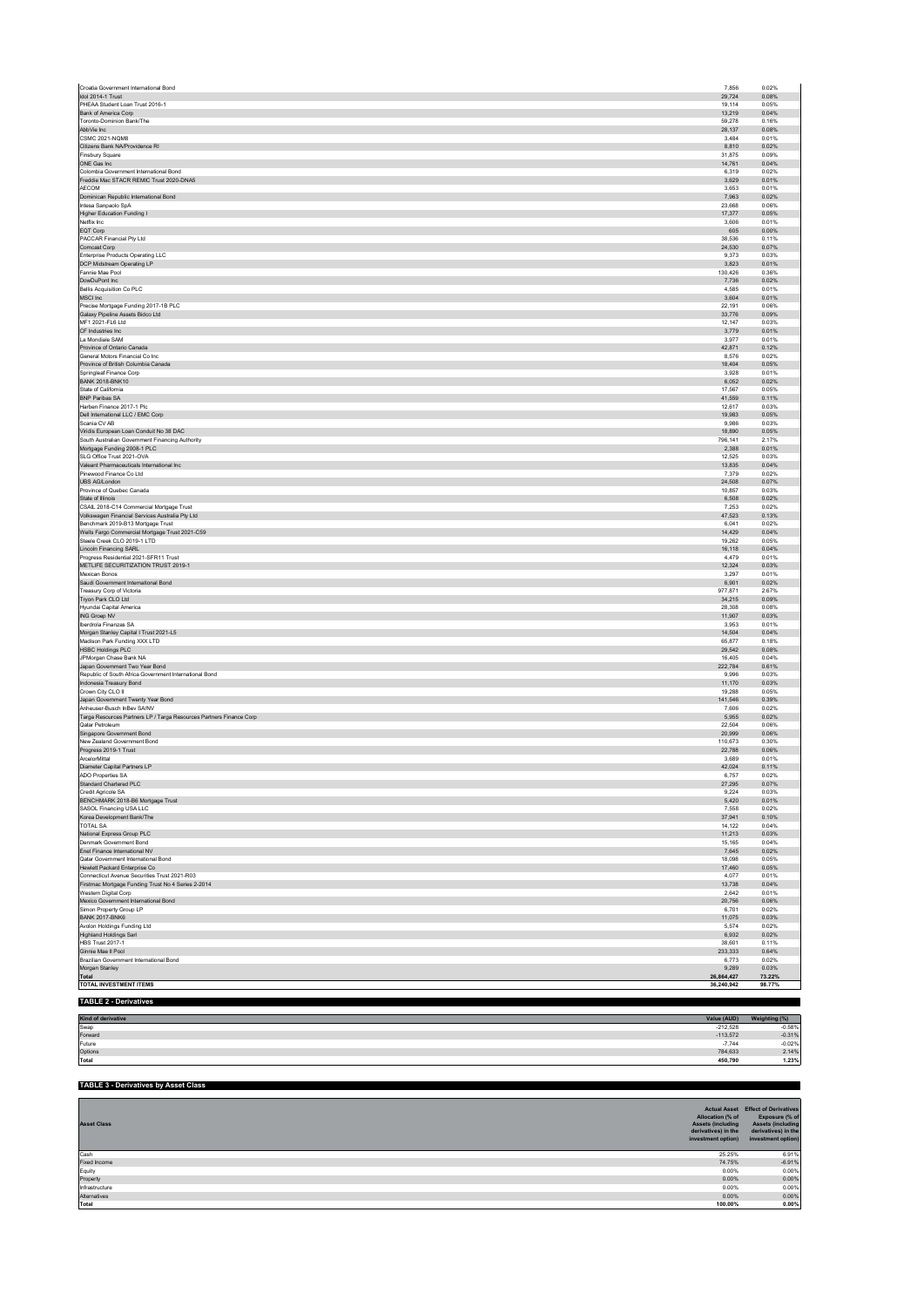| Croatia Government International Bond                                               | 7,856             | 0.02%          |
|-------------------------------------------------------------------------------------|-------------------|----------------|
| Idol 2014-1 Trust                                                                   | 29.724            | 0.08%          |
| PHEAA Student Loan Trust 2016-1                                                     | 19,114<br>13,219  | 0.05%<br>0.04% |
| Bank of America Corp<br>Toronto-Dominion Bank/The                                   | 59.278            | 0.16%          |
| AbbVie Inc                                                                          | 28,137            | 0.08%          |
| <b>CSMC 2021-NQM8</b>                                                               | 3.484             | 0.01%          |
| Citizens Bank NA/Providence RI                                                      | 8,810             | 0.02%          |
| Finsbury Square                                                                     | 31,875            | 0.09%          |
| ONE Gas Inc                                                                         | 14.761            | 0.04%          |
| Colombia Government International Bond                                              | 6,319             | 0.02%          |
| Freddie Mac STACR REMIC Trust 2020-DNA5                                             | 3.629             | 0.01%          |
| AECOM                                                                               | 3,653             | 0.01%<br>0.02% |
| Dominican Republic International Bond<br>Intesa Sanpaolo SpA                        | 7,963<br>23.668   | 0.06%          |
| Higher Education Funding I                                                          | 17,377            | 0.05%          |
| Netflix Inc.                                                                        | 3.606             | 0.01%          |
| EQT Corp                                                                            | 605               | 0.00%          |
| PACCAR Financial Pty Ltd                                                            | 38,536            | 0.11%          |
| Comcast Corp                                                                        | 24.530            | 0.07%          |
| Enterprise Products Operating LLC                                                   | 9,373             | 0.03%          |
| DCP Midstream Operating LP                                                          | 3.823             | 0.01%          |
| Fannie Mae Pool                                                                     | 130,426           | 0.36%          |
| DowDuPont Inc                                                                       | 7,736             | 0.02%          |
| Bellis Acquisition Co PLC                                                           | 4.585             | 0.01%          |
| MSCI Inc                                                                            | 3,604             | 0.01%          |
| Precise Mortgage Funding 2017-1B PLC<br>Galaxy Pipeline Assets Bidco Ltd            | 22,191<br>33,776  | 0.06%<br>0.09% |
| MF1 2021-FL6 Ltd                                                                    | 12,147            | 0.03%          |
| CF Industries Inc                                                                   | 3,779             | 0.01%          |
| La Mondiale SAM                                                                     | 3,977             | 0.01%          |
| Province of Ontario Canada                                                          | 42,871            | 0.12%          |
| General Motors Financial Co Inc                                                     | 8,576             | 0.02%          |
| Province of British Columbia Canada                                                 | 18,404            | 0.05%          |
| Springleaf Finance Corp                                                             | 3.928             | 0.01%          |
| <b>BANK 2018-BNK10</b>                                                              | 6,052             | 0.02%          |
| State of California                                                                 | 17,567            | 0.05%          |
| <b>BNP Paribas SA</b>                                                               | 41,559            | 0.11%          |
| Harben Finance 2017-1 Plc<br>Dell International LLC / EMC Corp                      | 12,617<br>19.983  | 0.03%<br>0.05% |
| Scania CV AB                                                                        |                   | 0.03%          |
| Viridis European Loan Conduit No 38 DAC                                             | 9,986<br>18,890   | 0.05%          |
| South Australian Government Financing Authority                                     | 796,141           | 2.17%          |
| Mortgage Funding 2008-1 PLC                                                         | 2,388             | 0.01%          |
| SLG Office Trust 2021-OVA                                                           | 12.525            | 0.03%          |
| Valeant Pharmaceuticals International Inc                                           | 13,835            | 0.04%          |
| Pinewood Finance Co Ltd                                                             | 7,379             | 0.02%          |
| UBS AG/London                                                                       | 24,508            | 0.07%          |
| Province of Quebec Canada                                                           | 10,857            | 0.03%          |
| State of Illinois                                                                   | 6.508             | 0.02%          |
| CSAIL 2018-C14 Commercial Mortgage Trust                                            | 7,253             | 0.02%          |
| Volkswagen Financial Services Australia Pty Ltd                                     | 47,523            | 0.13%          |
| Benchmark 2019-B13 Mortgage Trust<br>Wells Fargo Commercial Mortgage Trust 2021-C59 | 6,041<br>14,429   | 0.02%<br>0.04% |
| Steele Creek CLO 2019-1 LTD                                                         | 19.262            | 0.05%          |
| Lincoln Financing SARL                                                              | 16,118            | 0.04%          |
| Progress Residential 2021-SFR11 Trust                                               | 4,479             | 0.01%          |
| METLIFE SECURITIZATION TRUST 2019-1                                                 | 12,324            | 0.03%          |
| Mexican Bonos                                                                       | 3,297             | 0.01%          |
| Saudi Government International Bond                                                 | 6.901             | 0.02%          |
| Treasury Corp of Victoria                                                           | 977,871           | 2.67%          |
| Tryon Park CLO Ltd                                                                  | 34,215            | 0.09%          |
| Hyundai Capital America                                                             | 28,308            | 0.08%          |
| ING Groep NV                                                                        | 11,907            | 0.03%          |
| Iberdrola Finanzas SA                                                               | 3.953             | 0.01%          |
| Morgan Stanley Capital I Trust 2021-L5                                              | 14,504            | 0.04%          |
| Madison Park Funding XXX LTD<br><b>HSBC Holdings PLC</b>                            | 65,877<br>29,542  | 0.18%<br>0.08% |
| JPMorgan Chase Bank NA                                                              | 16,405            | 0.04%          |
| Japan Government Two Year Bond                                                      | 222.784           | 0.61%          |
| Republic of South Africa Government International Bond                              | 9,996             | 0.03%          |
| Indonesia Treasury Bond                                                             | 11,170            | 0.03%          |
| Crown City CLO II                                                                   | 19,288            | 0.05%          |
| Japan Government Twenty Year Bond                                                   | 141,546           | 0.39%          |
| Anheuser-Busch InBey SA/NV                                                          | 7.606             | 0.02%          |
| Targa Resources Partners LP / Targa Resources Partners Finance Corp                 | 5,955             | 0.02%          |
| Qatar Petroleum                                                                     | 22,504            | 0.06%          |
| Singapore Government Bond                                                           | 20,999            | 0.06%          |
| New Zealand Government Bond                                                         | 110,673<br>22.788 | 0.30%<br>0.06% |
| Progress 2019-1 Trust<br>ArcelorMittal                                              | 3,689             | 0.01%          |
| Diameter Capital Partners LP                                                        | 42.024            | 0.11%          |
| ADO Properties SA                                                                   | 6,757             | 0.02%          |
| Standard Chartered PL                                                               | 27,295            | 0.07%          |
|                                                                                     | 9.224             | 0.03%          |
| Credit Agricole SA                                                                  |                   | 0.01%          |
| BENCHMARK 2018-B6 Mortgage Trust                                                    | 5,420             | 0.02%          |
| SASOL Financing USA LLC                                                             | 7,558             |                |
| Korea Development Bank/The                                                          | 37,941            | 0.10%          |
| <b>TOTAL SA</b>                                                                     | 14,122            | 0.04%          |
| National Express Group PLC                                                          | 11,213            | 0.03%          |
| Denmark Government Bond                                                             | 15,165            | 0.04%          |
| Enel Finance International NV                                                       | 7,645             | 0.02%          |
| Qatar Government International Bond                                                 | 18,098            | 0.05%          |
| Hewlett Packard Enterprise Co<br>Connecticut Avenue Securities Trust 2021-R03       | 17,460<br>4.077   | 0.05%<br>0.01% |
|                                                                                     |                   |                |
| Firstmac Mortgage Funding Trust No 4 Series 2-2014                                  | 13,738<br>2,642   | 0.04%<br>0.01% |
| Western Digital Corp<br>Mexico Government International Bond                        | 20,756            | 0.06%          |
| Simon Property Group LP                                                             | 6,701             | 0.02%          |
| <b>BANK 2017-BNK6</b>                                                               | 11,075            | 0.03%          |
| Avolon Holdings Funding Ltd                                                         | 5,574             | 0.02%          |
| Highland Holdings Sarl                                                              | 6,932             | 0.02%          |
| <b>HBS Trust 2017-1</b>                                                             | 38,601            | 0.11%          |
| Ginnie Mae II Pool                                                                  | 233,333           | 0.64%          |
| Brazilian Government International Bond                                             | 6.773             | 0.02%          |
| Morgan Stanley                                                                      | 9,289             | 0.03%          |
| Total                                                                               | 26,864,427        | 73.22%         |
| <b>TOTAL INVESTMENT ITEMS</b>                                                       | 36,240,942        | 98.77%         |
| <b>TABLE 2 - Derivatives</b>                                                        |                   |                |

| Kind of derivative | Value (AUD) | $181 - 1$ |
|--------------------|-------------|-----------|
| Swap               | $-212,528$  | $-0.58%$  |
| Forward            | $-113,572$  | $-0.31%$  |
| Future             | $-7.744$    | $-0.02%$  |
| Options            | 784,633     | 2.14%     |
| Total              | 450,790     | 1.23%     |

| <b>TABLE 3 - Derivatives by Asset Class</b> |                                                                                           |                                                                                                                                      |
|---------------------------------------------|-------------------------------------------------------------------------------------------|--------------------------------------------------------------------------------------------------------------------------------------|
| <b>Asset Class</b>                          | Allocation (% of<br><b>Assets (including</b><br>derivatives) in the<br>investment option) | <b>Actual Asset</b> Effect of Derivatives<br>Exposure (% of<br><b>Assets (including</b><br>derivatives) in the<br>investment option) |
| Cash                                        | 25.25%                                                                                    | 6.91%                                                                                                                                |
| Fixed Income                                | 74.75%                                                                                    | $-6.91%$                                                                                                                             |
| Equity                                      | 0.00%                                                                                     | 0.00%                                                                                                                                |
| Property                                    | 0.00%                                                                                     | 0.00%                                                                                                                                |
| Infrastructure                              | 0.00%                                                                                     | 0.00%                                                                                                                                |
| Alternatives                                | 0.00%                                                                                     | 0.00%                                                                                                                                |
| Total                                       | 100.00%                                                                                   | 0.00%                                                                                                                                |